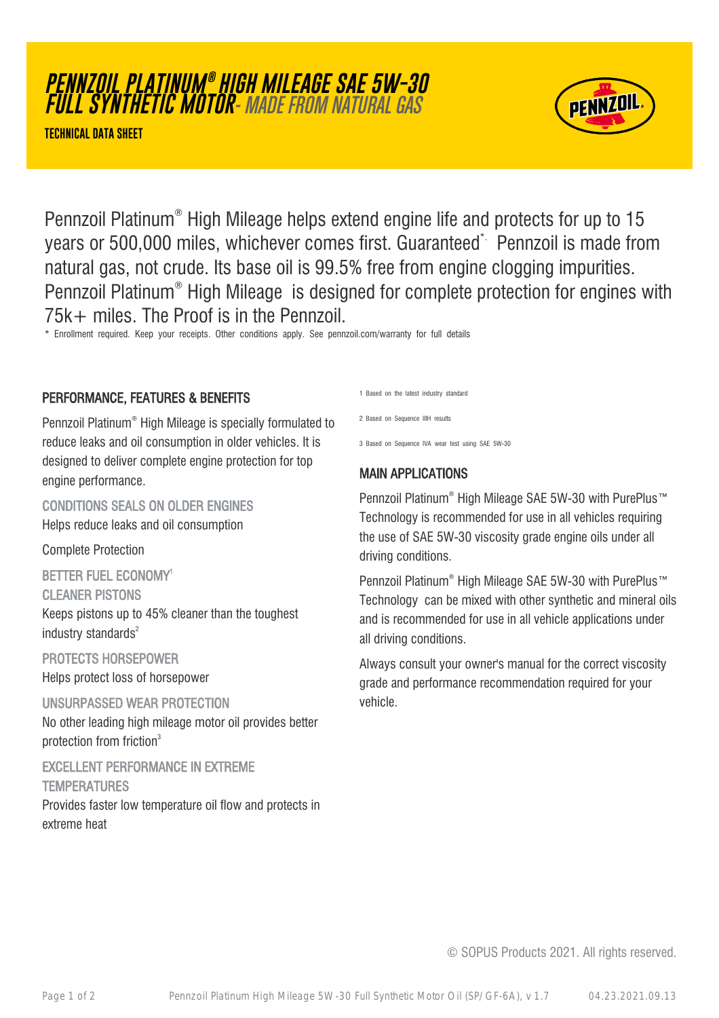#### © SOPUS Products 2021. All rights reserved.

Pennzoil Platinum® High Mileage helps extend engine life and protects for up to 15 years or 500,000 miles, whichever comes first. Guaranteed\* Pennzoil is made from natural gas, not crude. Its base oil is 99.5% free from engine clogging impurities. Pennzoil Platinum® High Mileage is designed for complete protection for engines with 75k+ miles. The Proof is in the Pennzoil.

\* Enrollment required. Keep your receipts. Other conditions apply. See pennzoil.com/warranty for full details

#### PERFORMANCE, FEATURES & BENEFITS

Pennzoil Platinum® High Mileage is specially formulated to reduce leaks and oil consumption in older vehicles. It is designed to deliver complete engine protection for top engine performance.

CONDITIONS SEALS ON OLDER ENGINES Helps reduce leaks and oil consumption

Complete Protection

BETTER FUEL ECONOMY<sup>1</sup>

CLEANER PISTONS

Keeps pistons up to 45% cleaner than the toughest industry standards $2$ 

PROTECTS HORSEPOWER Helps protect loss of horsepower

UNSURPASSED WEAR PROTECTION No other leading high mileage motor oil provides better protection from friction<sup>3</sup>

EXCELLENT PERFORMANCE IN EXTREME **TEMPERATURES** Provides faster low temperature oil flow and protects in

extreme heat

1 Based on the latest industry standard

2 Based on Sequence IIIH results

3 Based on Sequence IVA wear test using SAE 5W-30

# MAIN APPLICATIONS

Pennzoil Platinum® High Mileage SAE 5W-30 with PurePlus™ Technology is recommended for use in all vehicles requiring the use of SAE 5W-30 viscosity grade engine oils under all driving conditions.

Pennzoil Platinum® High Mileage SAE 5W-30 with PurePlus™ Technology can be mixed with other synthetic and mineral oils and is recommended for use in all vehicle applications under all driving conditions.

Always consult your owner's manual for the correct viscosity grade and performance recommendation required for your vehicle.

**PENNZOIL PLATINUM ® HIGH MILEAGE SAE 5W-30 FULL SYNTHETIC MOTOR**- MADE FROM NATURAL GAS

**TECHNICAL DATA SHEET**